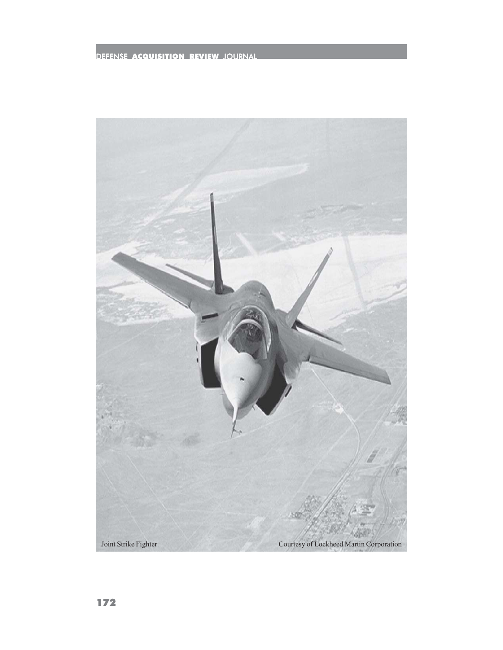## DEFENSE ACQUISITION REVIEW JOURNAL

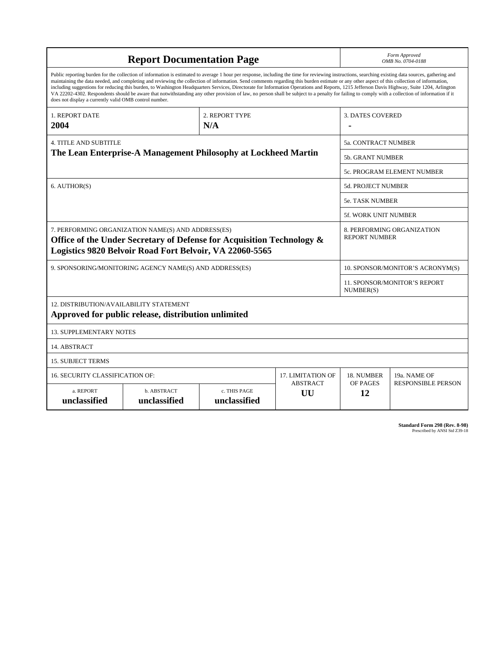| <b>Report Documentation Page</b>                                                                                                                                                                                                                                                                                                                                                                                                                                                                                                                                                                                                                                                                                                                                                                                                                                   |                             |                              |                       | Form Approved<br>OMB No. 0704-0188                 |                           |
|--------------------------------------------------------------------------------------------------------------------------------------------------------------------------------------------------------------------------------------------------------------------------------------------------------------------------------------------------------------------------------------------------------------------------------------------------------------------------------------------------------------------------------------------------------------------------------------------------------------------------------------------------------------------------------------------------------------------------------------------------------------------------------------------------------------------------------------------------------------------|-----------------------------|------------------------------|-----------------------|----------------------------------------------------|---------------------------|
| Public reporting burden for the collection of information is estimated to average 1 hour per response, including the time for reviewing instructions, searching existing data sources, gathering and<br>maintaining the data needed, and completing and reviewing the collection of information. Send comments regarding this burden estimate or any other aspect of this collection of information,<br>including suggestions for reducing this burden, to Washington Headquarters Services, Directorate for Information Operations and Reports, 1215 Jefferson Davis Highway, Suite 1204, Arlington<br>VA 22202-4302. Respondents should be aware that notwithstanding any other provision of law, no person shall be subject to a penalty for failing to comply with a collection of information if it<br>does not display a currently valid OMB control number. |                             |                              |                       |                                                    |                           |
| <b>1. REPORT DATE</b><br>2004                                                                                                                                                                                                                                                                                                                                                                                                                                                                                                                                                                                                                                                                                                                                                                                                                                      | 2. REPORT TYPE<br>N/A       |                              |                       | <b>3. DATES COVERED</b>                            |                           |
| <b>4. TITLE AND SUBTITLE</b><br>The Lean Enterprise-A Management Philosophy at Lockheed Martin                                                                                                                                                                                                                                                                                                                                                                                                                                                                                                                                                                                                                                                                                                                                                                     |                             |                              |                       | 5a. CONTRACT NUMBER                                |                           |
|                                                                                                                                                                                                                                                                                                                                                                                                                                                                                                                                                                                                                                                                                                                                                                                                                                                                    |                             |                              |                       | <b>5b. GRANT NUMBER</b>                            |                           |
|                                                                                                                                                                                                                                                                                                                                                                                                                                                                                                                                                                                                                                                                                                                                                                                                                                                                    |                             |                              |                       | 5c. PROGRAM ELEMENT NUMBER                         |                           |
| 6. AUTHOR(S)                                                                                                                                                                                                                                                                                                                                                                                                                                                                                                                                                                                                                                                                                                                                                                                                                                                       |                             |                              |                       | <b>5d. PROJECT NUMBER</b>                          |                           |
|                                                                                                                                                                                                                                                                                                                                                                                                                                                                                                                                                                                                                                                                                                                                                                                                                                                                    |                             |                              |                       | <b>5e. TASK NUMBER</b>                             |                           |
|                                                                                                                                                                                                                                                                                                                                                                                                                                                                                                                                                                                                                                                                                                                                                                                                                                                                    |                             |                              |                       | <b>5f. WORK UNIT NUMBER</b>                        |                           |
| 7. PERFORMING ORGANIZATION NAME(S) AND ADDRESS(ES)<br>Office of the Under Secretary of Defense for Acquisition Technology &<br>Logistics 9820 Belvoir Road Fort Belvoir, VA 22060-5565                                                                                                                                                                                                                                                                                                                                                                                                                                                                                                                                                                                                                                                                             |                             |                              |                       | 8. PERFORMING ORGANIZATION<br><b>REPORT NUMBER</b> |                           |
| 9. SPONSORING/MONITORING AGENCY NAME(S) AND ADDRESS(ES)                                                                                                                                                                                                                                                                                                                                                                                                                                                                                                                                                                                                                                                                                                                                                                                                            |                             |                              |                       | 10. SPONSOR/MONITOR'S ACRONYM(S)                   |                           |
|                                                                                                                                                                                                                                                                                                                                                                                                                                                                                                                                                                                                                                                                                                                                                                                                                                                                    |                             |                              |                       | <b>11. SPONSOR/MONITOR'S REPORT</b><br>NUMBER(S)   |                           |
| 12. DISTRIBUTION/AVAILABILITY STATEMENT<br>Approved for public release, distribution unlimited                                                                                                                                                                                                                                                                                                                                                                                                                                                                                                                                                                                                                                                                                                                                                                     |                             |                              |                       |                                                    |                           |
| <b>13. SUPPLEMENTARY NOTES</b>                                                                                                                                                                                                                                                                                                                                                                                                                                                                                                                                                                                                                                                                                                                                                                                                                                     |                             |                              |                       |                                                    |                           |
| 14. ABSTRACT                                                                                                                                                                                                                                                                                                                                                                                                                                                                                                                                                                                                                                                                                                                                                                                                                                                       |                             |                              |                       |                                                    |                           |
| <b>15. SUBJECT TERMS</b>                                                                                                                                                                                                                                                                                                                                                                                                                                                                                                                                                                                                                                                                                                                                                                                                                                           |                             |                              |                       |                                                    |                           |
| 16. SECURITY CLASSIFICATION OF:<br>17. LIMITATION OF                                                                                                                                                                                                                                                                                                                                                                                                                                                                                                                                                                                                                                                                                                                                                                                                               |                             |                              |                       | 18. NUMBER                                         | 19a. NAME OF              |
| a. REPORT<br>unclassified                                                                                                                                                                                                                                                                                                                                                                                                                                                                                                                                                                                                                                                                                                                                                                                                                                          | b. ABSTRACT<br>unclassified | c. THIS PAGE<br>unclassified | <b>ABSTRACT</b><br>UU | OF PAGES<br>12                                     | <b>RESPONSIBLE PERSON</b> |

**Standard Form 298 (Rev. 8-98)**<br>Prescribed by ANSI Std Z39-18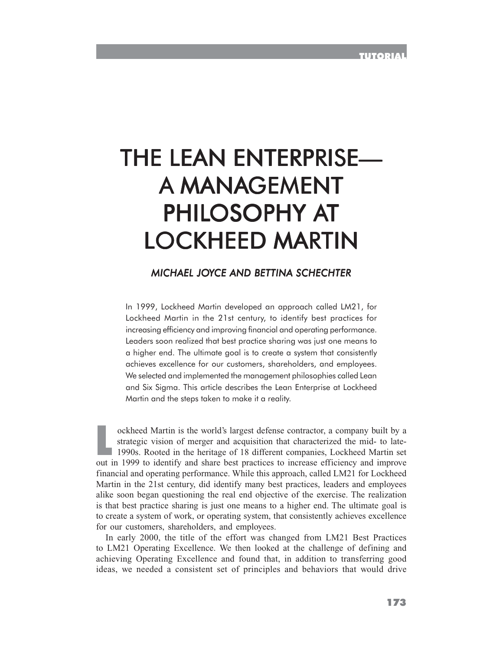# THE LEAN ENTERPRISE— A MANAGEMENT PHILOSOPHY AT LOCKHEED MARTIN

## *MICHAEL JOYCE AND BETTINA SCHECHTER*

In 1999, Lockheed Martin developed an approach called LM21, for Lockheed Martin in the 21st century, to identify best practices for increasing efficiency and improving financial and operating performance. Leaders soon realized that best practice sharing was just one means to a higher end. The ultimate goal is to create a system that consistently achieves excellence for our customers, shareholders, and employees. We selected and implemented the management philosophies called Lean and Six Sigma. This article describes the Lean Enterprise at Lockheed Martin and the steps taken to make it a reality.

ockheed Martin is the world's largest defense contractor, a company built by a<br>strategic vision of merger and acquisition that characterized the mid- to late-<br>1990s. Rooted in the heritage of 18 different companies, Lockhe strategic vision of merger and acquisition that characterized the mid- to late-1990s. Rooted in the heritage of 18 different companies, Lockheed Martin set out in 1999 to identify and share best practices to increase efficiency and improve financial and operating performance. While this approach, called LM21 for Lockheed Martin in the 21st century, did identify many best practices, leaders and employees alike soon began questioning the real end objective of the exercise. The realization is that best practice sharing is just one means to a higher end. The ultimate goal is to create a system of work, or operating system, that consistently achieves excellence for our customers, shareholders, and employees.

In early 2000, the title of the effort was changed from LM21 Best Practices to LM21 Operating Excellence. We then looked at the challenge of defining and achieving Operating Excellence and found that, in addition to transferring good ideas, we needed a consistent set of principles and behaviors that would drive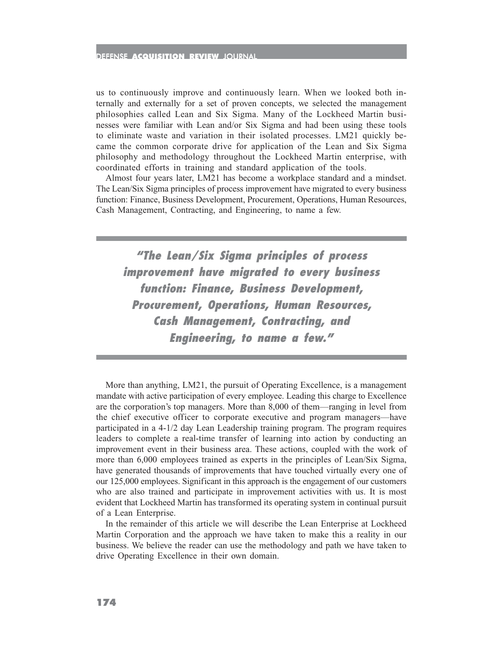#### DEFENSE ACQUISITION REVIEW JOURNAL

us to continuously improve and continuously learn. When we looked both internally and externally for a set of proven concepts, we selected the management philosophies called Lean and Six Sigma. Many of the Lockheed Martin businesses were familiar with Lean and/or Six Sigma and had been using these tools to eliminate waste and variation in their isolated processes. LM21 quickly became the common corporate drive for application of the Lean and Six Sigma philosophy and methodology throughout the Lockheed Martin enterprise, with coordinated efforts in training and standard application of the tools.

Almost four years later, LM21 has become a workplace standard and a mindset. The Lean/Six Sigma principles of process improvement have migrated to every business function: Finance, Business Development, Procurement, Operations, Human Resources, Cash Management, Contracting, and Engineering, to name a few.

**"The Lean/Six Sigma principles of process improvement have migrated to every business function: Finance, Business Development, Procurement, Operations, Human Resources, Cash Management, Contracting, and Engineering, to name a few."**

More than anything, LM21, the pursuit of Operating Excellence, is a management mandate with active participation of every employee. Leading this charge to Excellence are the corporation's top managers. More than 8,000 of them—ranging in level from the chief executive officer to corporate executive and program managers—have participated in a 4-1/2 day Lean Leadership training program. The program requires leaders to complete a real-time transfer of learning into action by conducting an improvement event in their business area. These actions, coupled with the work of more than 6,000 employees trained as experts in the principles of Lean/Six Sigma, have generated thousands of improvements that have touched virtually every one of our 125,000 employees. Significant in this approach is the engagement of our customers who are also trained and participate in improvement activities with us. It is most evident that Lockheed Martin has transformed its operating system in continual pursuit of a Lean Enterprise.

In the remainder of this article we will describe the Lean Enterprise at Lockheed Martin Corporation and the approach we have taken to make this a reality in our business. We believe the reader can use the methodology and path we have taken to drive Operating Excellence in their own domain.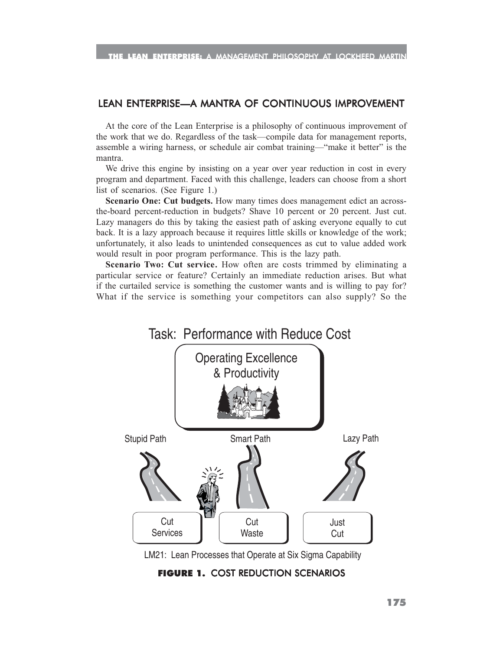#### LEAN ENTERPRISE—A MANTRA OF CONTINUOUS IMPROVEMENT

At the core of the Lean Enterprise is a philosophy of continuous improvement of the work that we do. Regardless of the task—compile data for management reports, assemble a wiring harness, or schedule air combat training—"make it better" is the mantra.

We drive this engine by insisting on a year over year reduction in cost in every program and department. Faced with this challenge, leaders can choose from a short list of scenarios. (See Figure 1.)

**Scenario One: Cut budgets.** How many times does management edict an acrossthe-board percent-reduction in budgets? Shave 10 percent or 20 percent. Just cut. Lazy managers do this by taking the easiest path of asking everyone equally to cut back. It is a lazy approach because it requires little skills or knowledge of the work; unfortunately, it also leads to unintended consequences as cut to value added work would result in poor program performance. This is the lazy path.

**Scenario Two: Cut service.** How often are costs trimmed by eliminating a particular service or feature? Certainly an immediate reduction arises. But what if the curtailed service is something the customer wants and is willing to pay for? What if the service is something your competitors can also supply? So the



LM21: Lean Processes that Operate at Six Sigma Capability

### FIGURE 1. COST REDUCTION SCENARIOS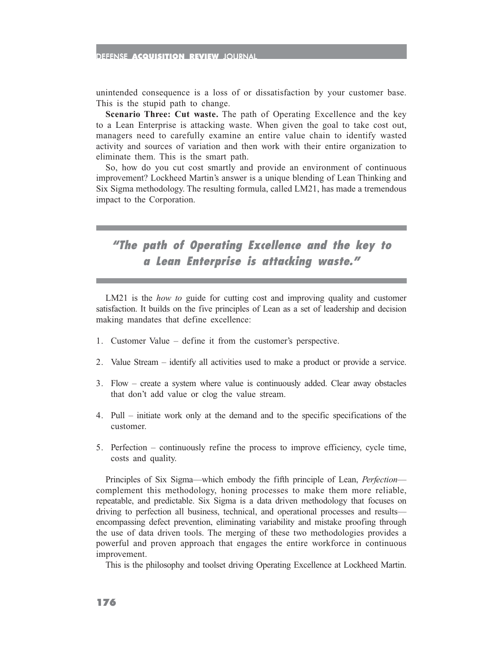#### DEFENSE ACQUISITION REVIEW JOURNAL

unintended consequence is a loss of or dissatisfaction by your customer base. This is the stupid path to change.

**Scenario Three: Cut waste.** The path of Operating Excellence and the key to a Lean Enterprise is attacking waste. When given the goal to take cost out, managers need to carefully examine an entire value chain to identify wasted activity and sources of variation and then work with their entire organization to eliminate them. This is the smart path.

So, how do you cut cost smartly and provide an environment of continuous improvement? Lockheed Martin's answer is a unique blending of Lean Thinking and Six Sigma methodology. The resulting formula, called LM21, has made a tremendous impact to the Corporation.

**"The path of Operating Excellence and the key to a Lean Enterprise is attacking waste."**

LM21 is the *how to* guide for cutting cost and improving quality and customer satisfaction. It builds on the five principles of Lean as a set of leadership and decision making mandates that define excellence:

- 1. Customer Value define it from the customer's perspective.
- 2. Value Stream identify all activities used to make a product or provide a service.
- 3. Flow create a system where value is continuously added. Clear away obstacles that don't add value or clog the value stream.
- 4. Pull initiate work only at the demand and to the specific specifications of the customer.
- 5. Perfection continuously refine the process to improve efficiency, cycle time, costs and quality.

Principles of Six Sigma—which embody the fifth principle of Lean, *Perfection* complement this methodology, honing processes to make them more reliable, repeatable, and predictable. Six Sigma is a data driven methodology that focuses on driving to perfection all business, technical, and operational processes and results encompassing defect prevention, eliminating variability and mistake proofing through the use of data driven tools. The merging of these two methodologies provides a powerful and proven approach that engages the entire workforce in continuous improvement.

This is the philosophy and toolset driving Operating Excellence at Lockheed Martin.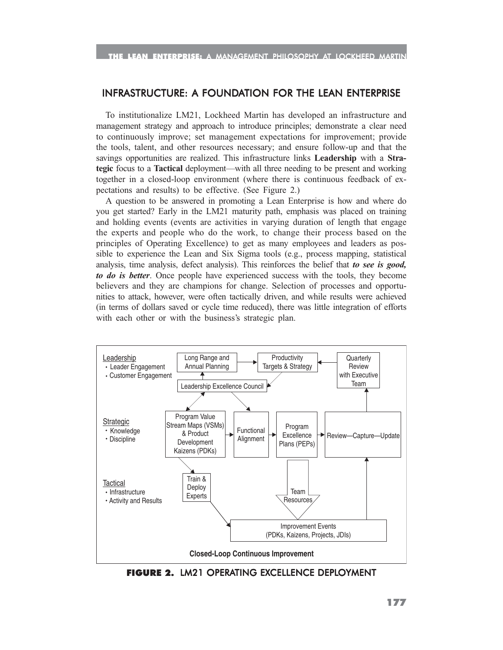#### INFRASTRUCTURE: A FOUNDATION FOR THE LEAN ENTERPRISE

To institutionalize LM21, Lockheed Martin has developed an infrastructure and management strategy and approach to introduce principles; demonstrate a clear need to continuously improve; set management expectations for improvement; provide the tools, talent, and other resources necessary; and ensure follow-up and that the savings opportunities are realized. This infrastructure links **Leadership** with a **Strategic** focus to a **Tactical** deployment—with all three needing to be present and working together in a closed-loop environment (where there is continuous feedback of expectations and results) to be effective. (See Figure 2.)

A question to be answered in promoting a Lean Enterprise is how and where do you get started? Early in the LM21 maturity path, emphasis was placed on training and holding events (events are activities in varying duration of length that engage the experts and people who do the work, to change their process based on the principles of Operating Excellence) to get as many employees and leaders as possible to experience the Lean and Six Sigma tools (e.g., process mapping, statistical analysis, time analysis, defect analysis). This reinforces the belief that *to see is good, to do is better*. Once people have experienced success with the tools, they become believers and they are champions for change. Selection of processes and opportunities to attack, however, were often tactically driven, and while results were achieved (in terms of dollars saved or cycle time reduced), there was little integration of efforts with each other or with the business's strategic plan.



FIGURE 2. LM21 OPERATING EXCELLENCE DEPLOYMENT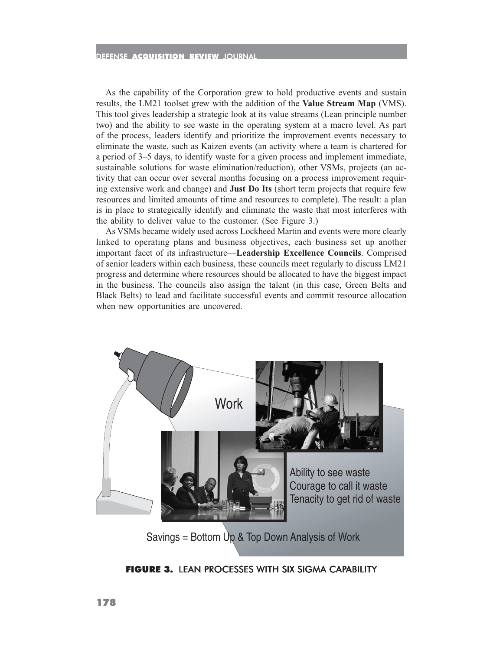As the capability of the Corporation grew to hold productive events and sustain results, the LM21 toolset grew with the addition of the **Value Stream Map** (VMS). This tool gives leadership a strategic look at its value streams (Lean principle number two) and the ability to see waste in the operating system at a macro level. As part of the process, leaders identify and prioritize the improvement events necessary to eliminate the waste, such as Kaizen events (an activity where a team is chartered for a period of 3–5 days, to identify waste for a given process and implement immediate, sustainable solutions for waste elimination/reduction), other VSMs, projects (an activity that can occur over several months focusing on a process improvement requiring extensive work and change) and **Just Do Its** (short term projects that require few resources and limited amounts of time and resources to complete). The result: a plan is in place to strategically identify and eliminate the waste that most interferes with the ability to deliver value to the customer. (See Figure 3.)

As VSMs became widely used across Lockheed Martin and events were more clearly linked to operating plans and business objectives, each business set up another important facet of its infrastructure—**Leadership Excellence Councils**. Comprised of senior leaders within each business, these councils meet regularly to discuss LM21 progress and determine where resources should be allocated to have the biggest impact in the business. The councils also assign the talent (in this case, Green Belts and Black Belts) to lead and facilitate successful events and commit resource allocation when new opportunities are uncovered.



FIGURE 3. LEAN PROCESSES WITH SIX SIGMA CAPABILITY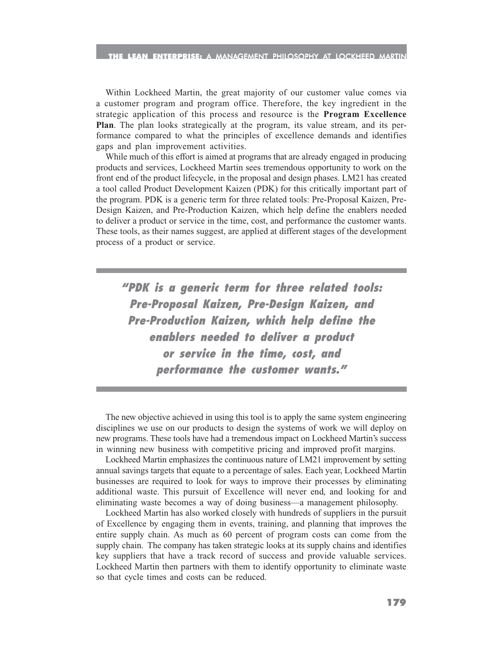Within Lockheed Martin, the great majority of our customer value comes via a customer program and program office. Therefore, the key ingredient in the strategic application of this process and resource is the **Program Excellence Plan**. The plan looks strategically at the program, its value stream, and its performance compared to what the principles of excellence demands and identifies gaps and plan improvement activities.

While much of this effort is aimed at programs that are already engaged in producing products and services, Lockheed Martin sees tremendous opportunity to work on the front end of the product lifecycle, in the proposal and design phases. LM21 has created a tool called Product Development Kaizen (PDK) for this critically important part of the program. PDK is a generic term for three related tools: Pre-Proposal Kaizen, Pre-Design Kaizen, and Pre-Production Kaizen, which help define the enablers needed to deliver a product or service in the time, cost, and performance the customer wants. These tools, as their names suggest, are applied at different stages of the development process of a product or service.

**"PDK is a generic term for three related tools: Pre-Proposal Kaizen, Pre-Design Kaizen, and Pre-Production Kaizen, which help define the enablers needed to deliver a product or service in the time, cost, and performance the customer wants."**

The new objective achieved in using this tool is to apply the same system engineering disciplines we use on our products to design the systems of work we will deploy on new programs. These tools have had a tremendous impact on Lockheed Martin's success in winning new business with competitive pricing and improved profit margins.

Lockheed Martin emphasizes the continuous nature of LM21 improvement by setting annual savings targets that equate to a percentage of sales. Each year, Lockheed Martin businesses are required to look for ways to improve their processes by eliminating additional waste. This pursuit of Excellence will never end, and looking for and eliminating waste becomes a way of doing business—a management philosophy.

Lockheed Martin has also worked closely with hundreds of suppliers in the pursuit of Excellence by engaging them in events, training, and planning that improves the entire supply chain. As much as 60 percent of program costs can come from the supply chain. The company has taken strategic looks at its supply chains and identifies key suppliers that have a track record of success and provide valuable services. Lockheed Martin then partners with them to identify opportunity to eliminate waste so that cycle times and costs can be reduced.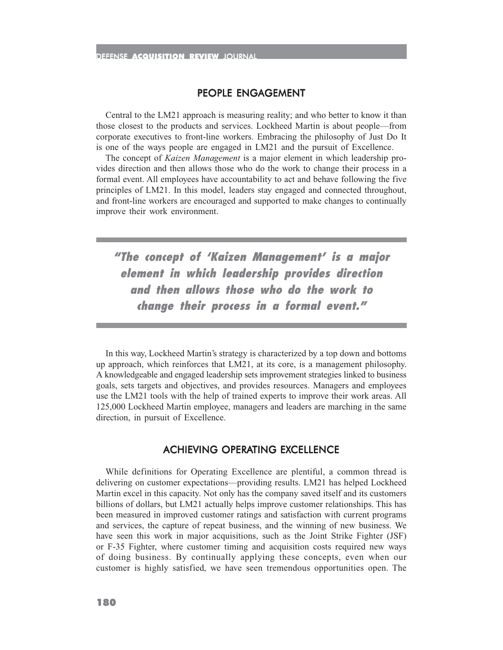#### PEOPLE ENGAGEMENT

Central to the LM21 approach is measuring reality; and who better to know it than those closest to the products and services. Lockheed Martin is about people—from corporate executives to front-line workers. Embracing the philosophy of Just Do It is one of the ways people are engaged in LM21 and the pursuit of Excellence.

The concept of *Kaizen Management* is a major element in which leadership provides direction and then allows those who do the work to change their process in a formal event. All employees have accountability to act and behave following the five principles of LM21. In this model, leaders stay engaged and connected throughout, and front-line workers are encouraged and supported to make changes to continually improve their work environment.

**"The concept of 'Kaizen Management' is a major element in which leadership provides direction and then allows those who do the work to change their process in a formal event."**

In this way, Lockheed Martin's strategy is characterized by a top down and bottoms up approach, which reinforces that LM21, at its core, is a management philosophy. A knowledgeable and engaged leadership sets improvement strategies linked to business goals, sets targets and objectives, and provides resources. Managers and employees use the LM21 tools with the help of trained experts to improve their work areas. All 125,000 Lockheed Martin employee, managers and leaders are marching in the same direction, in pursuit of Excellence.

### ACHIEVING OPERATING EXCELLENCE

While definitions for Operating Excellence are plentiful, a common thread is delivering on customer expectations—providing results. LM21 has helped Lockheed Martin excel in this capacity. Not only has the company saved itself and its customers billions of dollars, but LM21 actually helps improve customer relationships. This has been measured in improved customer ratings and satisfaction with current programs and services, the capture of repeat business, and the winning of new business. We have seen this work in major acquisitions, such as the Joint Strike Fighter (JSF) or F-35 Fighter, where customer timing and acquisition costs required new ways of doing business. By continually applying these concepts, even when our customer is highly satisfied, we have seen tremendous opportunities open. The